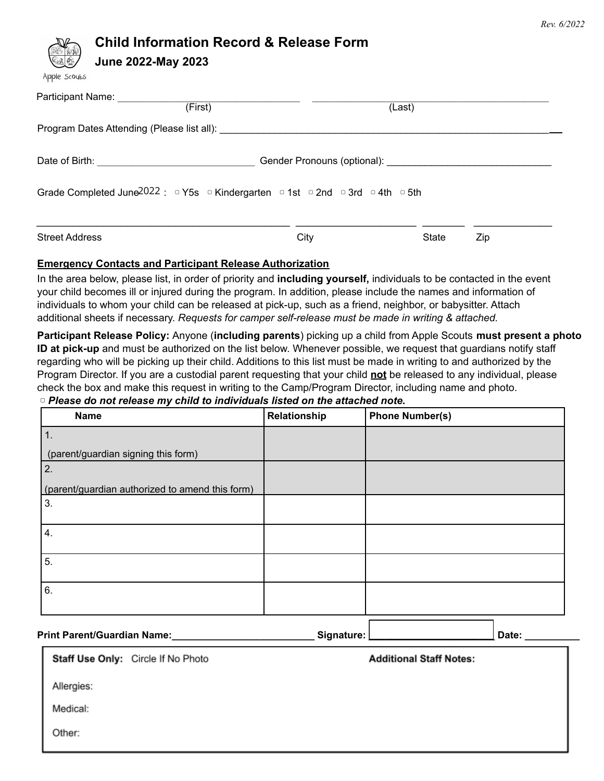

# **Child Information Record & Release Form**

**June 2022-May 2023**

|  | Apple Scouts |
|--|--------------|
|--|--------------|

| Participant Name: 1997<br>(First)                                                                                                   |                                                                                                                  | (Last) |     |  |
|-------------------------------------------------------------------------------------------------------------------------------------|------------------------------------------------------------------------------------------------------------------|--------|-----|--|
|                                                                                                                                     |                                                                                                                  |        |     |  |
| Date of Birth: <u>_____________________________</u>                                                                                 | Gender Pronouns (optional): Canadian Control of Control of Control of Control of Control of Control of Control o |        |     |  |
| Grade Completed June $2022: P5s \circ$ Kindergarten $P^{\circ}$ 1st $P^{\circ}$ 2nd $P^{\circ}$ 3rd $P^{\circ}$ 4th $P^{\circ}$ 5th |                                                                                                                  |        |     |  |
| <b>Street Address</b>                                                                                                               | City                                                                                                             | State  | Zip |  |

## **Emergency Contacts and Participant Release Authorization**

In the area below, please list, in order of priority and **including yourself,** individuals to be contacted in the event your child becomes ill or injured during the program. In addition, please include the names and information of individuals to whom your child can be released at pick-up, such as a friend, neighbor, or babysitter. Attach additional sheets if necessary. *Requests for camper self-release must be made in writing & attached.*

**Participant Release Policy:** Anyone (**including parents**) picking up a child from Apple Scouts **must present a photo ID at pick-up** and must be authorized on the list below. Whenever possible, we request that guardians notify staff regarding who will be picking up their child. Additions to this list must be made in writing to and authorized by the Program Director. If you are a custodial parent requesting that your child **not** be released to any individual, please check the box and make this request in writing to the Camp/Program Director, including name and photo. ▢ *Please do not release my child to individuals listed on the attached note.*

| <b>Name</b>                                     | Relationship | <b>Phone Number(s)</b> |
|-------------------------------------------------|--------------|------------------------|
| 1.                                              |              |                        |
| (parent/guardian signing this form)             |              |                        |
| 2.                                              |              |                        |
| (parent/guardian authorized to amend this form) |              |                        |
| 3.                                              |              |                        |
|                                                 |              |                        |
| 4.                                              |              |                        |
| 5.                                              |              |                        |
|                                                 |              |                        |
| 6.                                              |              |                        |
|                                                 |              |                        |
|                                                 |              |                        |

#### **Print Parent/Guardian Name:\_\_\_\_\_\_\_\_\_\_\_\_\_\_\_\_\_\_\_\_\_\_\_\_\_\_ Signature: \_\_\_\_\_\_\_\_\_\_\_\_\_\_\_\_\_\_\_\_\_\_\_ Date: \_\_\_\_\_\_\_\_\_\_**

Staff Use Only: Circle If No Photo

**Additional Staff Notes:** 

Allergies:

Medical:

Other: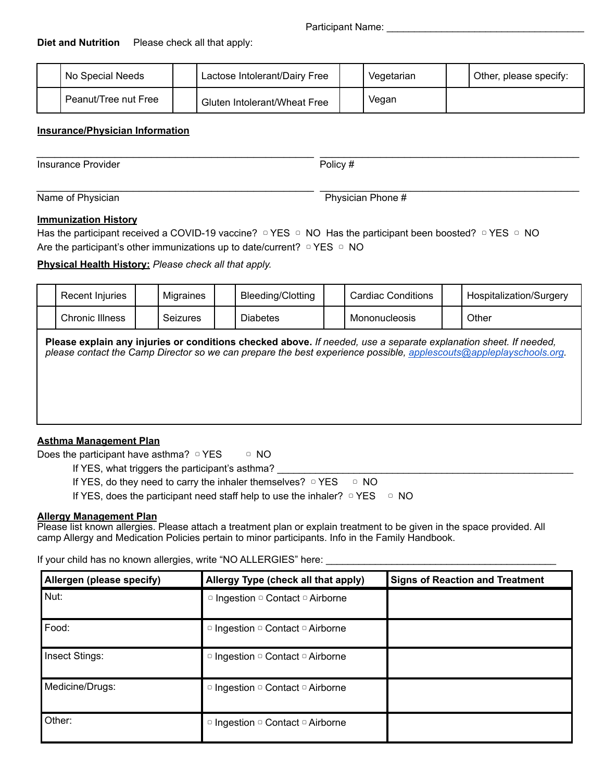## **Diet and Nutrition** Please check all that apply:

| No Special Needs     | Lactose Intolerant/Dairy Free | Vegetarian | Other, please specify: |
|----------------------|-------------------------------|------------|------------------------|
| Peanut/Tree nut Free | Gluten Intolerant/Wheat Free  | Vegan      |                        |

\_\_\_\_\_\_\_\_\_\_\_\_\_\_\_\_\_\_\_\_\_\_\_\_\_\_\_\_\_\_\_\_\_\_\_\_\_\_\_\_\_\_\_\_\_\_ \_\_\_\_\_\_\_\_\_\_\_\_\_\_\_\_\_\_\_\_\_\_\_\_\_\_\_\_\_\_\_\_\_\_\_\_\_\_\_\_\_\_\_

\_\_\_\_\_\_\_\_\_\_\_\_\_\_\_\_\_\_\_\_\_\_\_\_\_\_\_\_\_\_\_\_\_\_\_\_\_\_\_\_\_\_\_\_\_\_ \_\_\_\_\_\_\_\_\_\_\_\_\_\_\_\_\_\_\_\_\_\_\_\_\_\_\_\_\_\_\_\_\_\_\_\_\_\_\_\_\_\_\_

## **Insurance/Physician Information**

Insurance Provider **Provider** Policy #

Name of Physician **Name of Physician** Phone #

## **Immunization History**

Has the participant received a COVID-19 vaccine? **Q YES Q NO Has the participant been boosted?** Q YES Q NO Are the participant's other immunizations up to date/current?  $\nabla$  YES  $\nabla$  NO

**Physical Health History:** *Please check all that apply.*

| Recent Injuries | Migraines       | Bleeding/Clotting | Cardiac Conditions                                                                                               | Hospitalization/Surgery                                                                                            |
|-----------------|-----------------|-------------------|------------------------------------------------------------------------------------------------------------------|--------------------------------------------------------------------------------------------------------------------|
| Chronic Illness | <b>Seizures</b> | <b>Diabetes</b>   | Mononucleosis                                                                                                    | Other                                                                                                              |
|                 |                 |                   | Please explain any injuries or conditions checked above. If needed, use a separate explanation sheet. If needed, | please contact the Camp Director so we can prepare the best experience possible, applescouts@appleplayschools.org. |

## **Asthma Management Plan**

Does the participant have asthma?  $\nabla$  YES  $\nabla$  NO

If YES, what triggers the participant's asthma?

If YES, do they need to carry the inhaler themselves? ○ YES ○ NO

If YES, does the participant need staff help to use the inhaler?  $\nabla$  YES  $\nabla$  NO

#### **Allergy Management Plan**

Please list known allergies. Please attach a treatment plan or explain treatment to be given in the space provided. All camp Allergy and Medication Policies pertain to minor participants. Info in the Family Handbook.

If your child has no known allergies, write "NO ALLERGIES" here:

| Allergen (please specify) | Allergy Type (check all that apply) | <b>Signs of Reaction and Treatment</b> |
|---------------------------|-------------------------------------|----------------------------------------|
| Nut:                      | □ Ingestion □ Contact □ Airborne    |                                        |
| Food:                     | □ Ingestion □ Contact □ Airborne    |                                        |
| Insect Stings:            | □ Ingestion □ Contact □ Airborne    |                                        |
| Medicine/Drugs:           | □ Ingestion □ Contact □ Airborne    |                                        |
| Other:                    | □ Ingestion □ Contact □ Airborne    |                                        |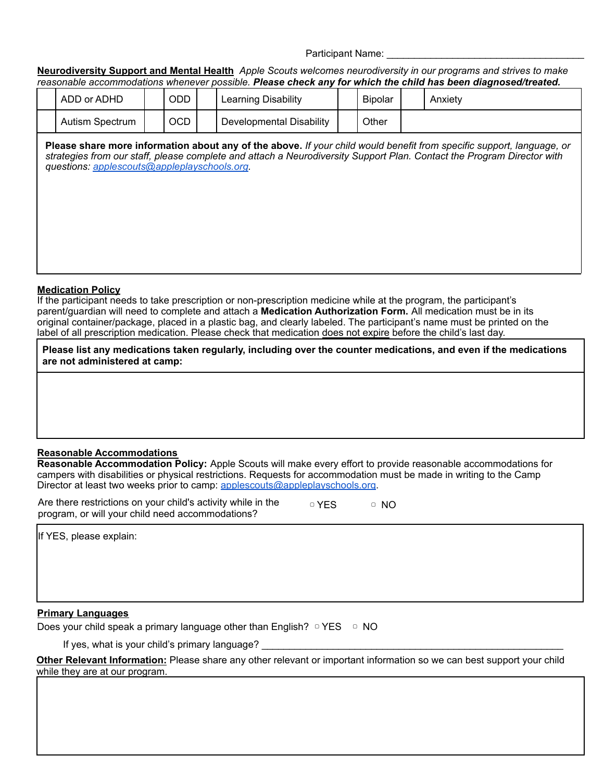Participant Name:

Neurodiversity Support and Mental Health Apple Scouts welcomes neurodiversity in our programs and strives to make *reasonable accommodations whenever possible. Please check any for which the child has been diagnosed/treated.*

| ADD or ADHD     | ODD | Learning Disability      | <b>Bipolar</b> | Anxiety |
|-----------------|-----|--------------------------|----------------|---------|
| Autism Spectrum | OCD | Developmental Disability | Other          |         |

Please share more information about any of the above. If your child would benefit from specific support, language, or strategies from our staff, please complete and attach a Neurodiversity Support Plan. Contact the Program Director with *questions: applescouts@appleplayschools.org.*

### **Medication Policy**

If the participant needs to take prescription or non-prescription medicine while at the program, the participant's parent/guardian will need to complete and attach a **Medication Authorization Form.** All medication must be in its original container/package, placed in a plastic bag, and clearly labeled. The participant's name must be printed on the label of all prescription medication. Please check that medication does not expire before the child's last day.

**Please list any medications taken regularly, including over the counter medications, and even if the medications are not administered at camp:**

## **Reasonable Accommodations**

**Reasonable Accommodation Policy:** Apple Scouts will make every effort to provide reasonable accommodations for campers with disabilities or physical restrictions. Requests for accommodation must be made in writing to the Camp Director at least two weeks prior to camp: applescouts@appleplayschools.org.

Are there restrictions on your child's activity while in the program, or will your child need accommodations? ▢ YES ▢ NO

If YES, please explain:

## **Primary Languages**

Does your child speak a primary language other than English?  $\nabla$  YES  $\nabla$  NO

If yes, what is your child's primary language?

**Other Relevant Information:** Please share any other relevant or important information so we can best support your child while they are at our program.